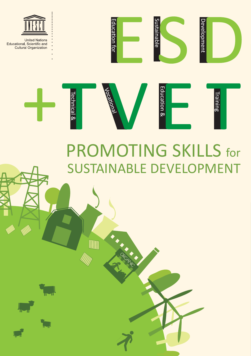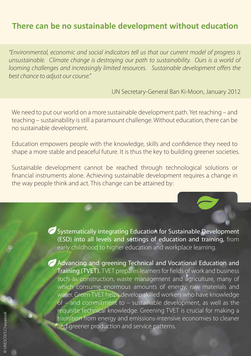## **There can be no sustainable development without education**

*"Environmental, economic and social indicators tell us that our current model of progress is unsustainable. Climate change is destroying our path to sustainability. Ours is a world of looming challenges and increasingly limited resources. Sustainable development offers the best chance to adjust our course."*

UN Secretary-General Ban Ki-Moon, January 2012

We need to put our world on a more sustainable development path. Yet reaching – and teaching – sustainability is still a paramount challenge. Without education, there can be no sustainable development.

Education empowers people with the knowledge, skills and confidence they need to shape a more stable and peaceful future. It is thus the key to building greener societies.

Sustainable development cannot be reached through technological solutions or nancial instruments alone. Achieving sustainable development requires a change in the way people think and act. This change can be attained by:

> Systematically integrating Education for Sustainable Development (ESD) into all levels and settings of education and training, from early childhood to higher education and workplace learning.

Advancing and greening Technical and Vocational Education and Training (TVET). TVET prepares learners for fields of work and business such as construction, waste management and agriculture, many of which consume enormous amounts of energy, raw materials and water. Green TVET helps develop skilled workers who have knowledge of – and commitment to – sustainable development, as well as the requisite technical knowledge. Greening TVET is crucial for making a transition from energy and emissions-intensive economies to cleaner and greener production and service patterns.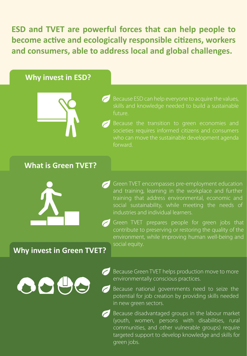**ESD and TVET are powerful forces that can help people to become active and ecologically responsible citizens, workers and consumers, able to address local and global challenges.** 

#### **Why invest in ESD?**



skills and knowledge needed to build a sustainable future.

who can move the sustainable development agenda forward.

### **What is Green TVET?**



- Green TVET encompasses pre-employment education and training, learning in the workplace and further training that address environmental, economic and social sustainability, while meeting the needs of industries and individual learners.
- Green TVET prepares people for green jobs that contribute to preserving or restoring the quality of the environment, while improving human well-being and social equity.

## **Why invest in Green TVET?**



- Because Green TVET helps production move to more environmentally conscious practices.
- Because national governments need to seize the potential for job creation by providing skills needed in new green sectors.
- Because disadvantaged groups in the labour market (youth, women, persons with disabilities, rural communities, and other vulnerable groups) require targeted support to develop knowledge and skills for green jobs.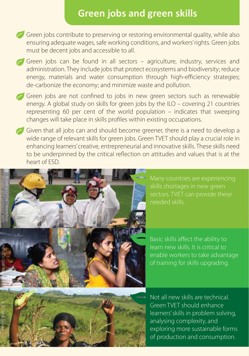# **Green jobs and green skills**

- Green jobs contribute to preserving or restoring environmental quality, while also ensuring adequate wages, safe working conditions, and workers' rights. Green jobs must be decent jobs and accessible to all.
- Green jobs can be found in all sectors agriculture, industry, services and administration. They include jobs that protect ecosystems and biodiversity; reduce energy, materials and water consumption through high-efficiency strategies; de-carbonize the economy; and minimize waste and pollution.
- Green jobs are not confined to jobs in new green sectors such as renewable energy. A global study on skills for green jobs by the ILO – covering 21 countries representing 60 per cent of the world population – indicates that sweeping changes will take place in skills profiles within existing occupations.
- Given that all jobs can and should become greener, there is a need to develop a wide range of relevant skills for green jobs. Green TVET should play a crucial role in enhancing learners' creative, entrepreneurial and innovative skills. These skills need to be underpinned by the critical reflection on attitudes and values that is at the heart of ESD.



Many countries are experiencing sectors. TVET can provide these needed skills.

Basic skills affect the ability to learn new skills. It is critical to enable workers to take advantage of training for skills upgrading.

Not all new skills are technical. Green TVET should enhance learners' skills in problem solving, analysing complexity, and exploring more sustainable forms of production and consumption.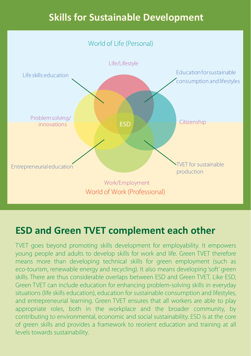# **Skills for Sustainable Development**



## **ESD and Green TVET complement each other**

TVET goes beyond promoting skills development for employability. It empowers young people and adults to develop skills for work and life. Green TVET therefore means more than developing technical skills for green employment (such as eco-tourism, renewable energy and recycling). It also means developing 'soft' green skills. There are thus considerable overlaps between ESD and Green TVET. Like ESD, Green TVET can include education for enhancing problem-solving skills in everyday situations (life skills education), education for sustainable consumption and lifestyles, and entrepreneurial learning. Green TVET ensures that all workers are able to play appropriate roles, both in the workplace and the broader community, by contributing to environmental, economic and social sustainability. ESD is at the core of green skills and provides a framework to reorient education and training at all levels towards sustainability.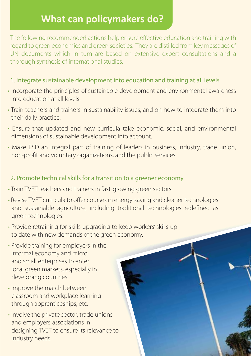# **What can policymakers do?**

The following recommended actions help ensure effective education and training with regard to green economies and green societies. They are distilled from key messages of UN documents which in turn are based on extensive expert consultations and a thorough synthesis of international studies.

#### 1. Integrate sustainable development into education and training at all levels

- Incorporate the principles of sustainable development and environmental awareness into education at all levels.
- Train teachers and trainers in sustainability issues, and on how to integrate them into their daily practice.
- Ensure that updated and new curricula take economic, social, and environmental dimensions of sustainable development into account.
- Make ESD an integral part of training of leaders in business, industry, trade union, non-profit and voluntary organizations, and the public services.

#### 2. Promote technical skills for a transition to a greener economy

- Train TVET teachers and trainers in fast-growing green sectors.
- Revise TVET curricula to offer courses in energy-saving and cleaner technologies and sustainable agriculture, including traditional technologies redefined as green technologies.
- Provide retraining for skills upgrading to keep workers' skills up to date with new demands of the green economy.
- Provide training for employers in the informal economy and micro and small enterprises to enter local green markets, especially in developing countries.
- Improve the match between classroom and workplace learning through apprenticeships, etc.
- Involve the private sector, trade unions and employers' associations in designing TVET to ensure its relevance to industry needs.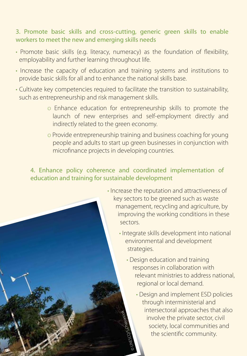#### 3. Promote basic skills and cross-cutting, generic green skills to enable workers to meet the new and emerging skills needs

- Promote basic skills (e.g. literacy, numeracy) as the foundation of flexibility, employability and further learning throughout life.
- Increase the capacity of education and training systems and institutions to provide basic skills for all and to enhance the national skills base.
- Cultivate key competencies required to facilitate the transition to sustainability, such as entrepreneurship and risk management skills.
	- o Enhance education for entrepreneurship skills to promote the launch of new enterprises and self-employment directly and indirectly related to the green economy.
	- o Provide entrepreneurship training and business coaching for young people and adults to start up green businesses in conjunction with microfinance projects in developing countries.

#### 4. Enhance policy coherence and coordinated implementation of education and training for sustainable development



- Integrate skills development into national environmental and development strategies.
	- Design education and training responses in collaboration with relevant ministries to address national, regional or local demand.
- Design and implement ESD policies through interministerial and intersectoral approaches that also involve the private sector, civil<br>
society, local communities and<br>
the scientific community. society, local communities and